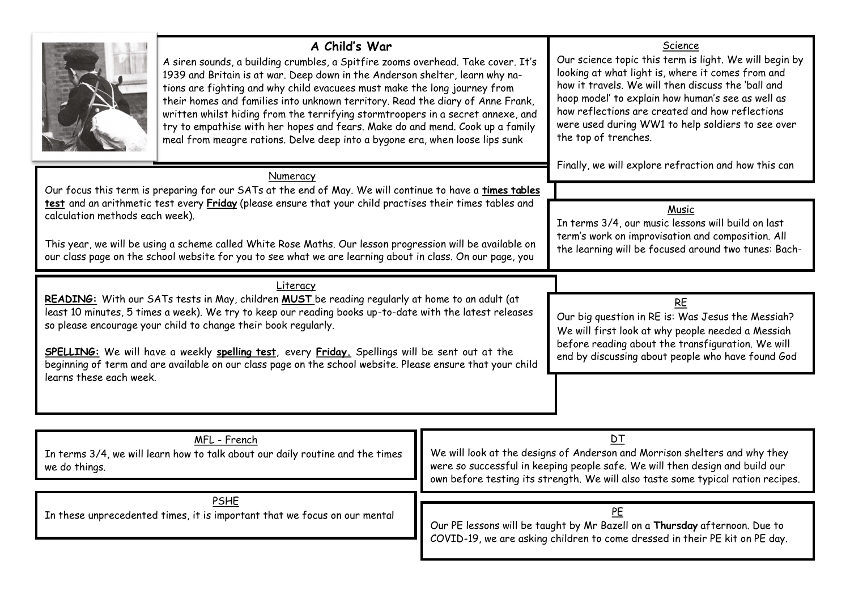|                                                                                                                                                                                                                                                                                                                                                                                                                                                                                                                                     | A Child's War<br>A siren sounds, a building crumbles, a Spitfire zooms overhead. Take cover. It's<br>1939 and Britain is at war. Deep down in the Anderson shelter, learn why na-<br>tions are fighting and why child evacuees must make the long journey from<br>their homes and families into unknown territory. Read the diary of Anne Frank,<br>written whilst hiding from the terrifying stormtroopers in a secret annexe, and<br>try to empathise with her hopes and fears. Make do and mend. Cook up a family<br>meal from meagre rations. Delve deep into a bygone era, when loose lips sunk |                                                                                                                                                                                                                                  | Science<br>Our science topic this term is light. We will begin by<br>looking at what light is, where it comes from and<br>how it travels. We will then discuss the 'ball and<br>hoop model' to explain how human's see as well as<br>how reflections are created and how reflections<br>were used during WW1 to help soldiers to see over<br>the top of trenches. |  |
|-------------------------------------------------------------------------------------------------------------------------------------------------------------------------------------------------------------------------------------------------------------------------------------------------------------------------------------------------------------------------------------------------------------------------------------------------------------------------------------------------------------------------------------|------------------------------------------------------------------------------------------------------------------------------------------------------------------------------------------------------------------------------------------------------------------------------------------------------------------------------------------------------------------------------------------------------------------------------------------------------------------------------------------------------------------------------------------------------------------------------------------------------|----------------------------------------------------------------------------------------------------------------------------------------------------------------------------------------------------------------------------------|-------------------------------------------------------------------------------------------------------------------------------------------------------------------------------------------------------------------------------------------------------------------------------------------------------------------------------------------------------------------|--|
| calculation methods each week).                                                                                                                                                                                                                                                                                                                                                                                                                                                                                                     | Numeracy<br>Our focus this term is preparing for our SATs at the end of May. We will continue to have a times tables<br>test and an arithmetic test every Friday (please ensure that your child practises their times tables and<br>This year, we will be using a scheme called White Rose Maths. Our lesson progression will be available on<br>our class page on the school website for you to see what we are learning about in class. On our page, you                                                                                                                                           | Finally, we will explore refraction and how this can<br>Music<br>In terms 3/4, our music lessons will build on last<br>term's work on improvisation and composition. All<br>the learning will be focused around two tunes: Bach- |                                                                                                                                                                                                                                                                                                                                                                   |  |
| Literacy<br>READING: With our SATs tests in May, children MUST be reading regularly at home to an adult (at<br>least 10 minutes, 5 times a week). We try to keep our reading books up-to-date with the latest releases<br>so please encourage your child to change their book regularly.<br>SPELLING: We will have a weekly spelling test, every Friday. Spellings will be sent out at the<br>beginning of term and are available on our class page on the school website. Please ensure that your child<br>learns these each week. |                                                                                                                                                                                                                                                                                                                                                                                                                                                                                                                                                                                                      |                                                                                                                                                                                                                                  | RE<br>Our big question in RE is: Was Jesus the Messiah?<br>We will first look at why people needed a Messiah<br>before reading about the transfiguration. We will<br>end by discussing about people who have found God                                                                                                                                            |  |
| MFL - French<br>In terms 3/4, we will learn how to talk about our daily routine and the times<br>we do things.                                                                                                                                                                                                                                                                                                                                                                                                                      |                                                                                                                                                                                                                                                                                                                                                                                                                                                                                                                                                                                                      |                                                                                                                                                                                                                                  | D <sub>T</sub><br>We will look at the designs of Anderson and Morrison shelters and why they<br>were so successful in keeping people safe. We will then design and build our<br>own before testing its strength. We will also taste some typical ration recipes.                                                                                                  |  |
| <b>PSHE</b><br>In these unprecedented times, it is important that we focus on our mental                                                                                                                                                                                                                                                                                                                                                                                                                                            |                                                                                                                                                                                                                                                                                                                                                                                                                                                                                                                                                                                                      |                                                                                                                                                                                                                                  | PE<br>Our PE lessons will be taught by Mr Bazell on a Thursday afternoon. Due to<br>COVID-19, we are asking children to come dressed in their PE kit on PE day.                                                                                                                                                                                                   |  |